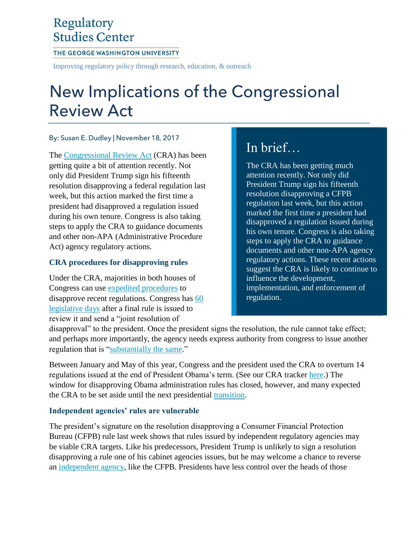## Regulatory **Studies Center**

#### THE GEORGE WASHINGTON UNIVERSITY

Improving regulatory policy through research, education, & outreach

# New Implications of the Congressional **Review Act**

#### By: Susan E. Dudley | November 18, 2017

The [Congressional Review Act](http://www.gao.gov/legal/congressional-review-act-faq/about) (CRA) has been getting quite a bit of attention recently. Not only did President Trump sign his fifteenth resolution disapproving a federal regulation last week, but this action marked the first time a president had disapproved a regulation issued during his own tenure. Congress is also taking steps to apply the CRA to guidance documents and other non-APA (Administrative Procedure Act) agency regulatory actions.

## **CRA procedures for disapproving rules**

Under the CRA, majorities in both houses of Congress can use [expedited procedures](https://regulatorystudies.columbian.gwu.edu/congressional-review-act) to disapprove recent regulations. Congress has [60](https://www.forbes.com/sites/susandudley/2016/11/14/election-could-wake-the-sleeping-cra-giant/)  [legislative days](https://www.forbes.com/sites/susandudley/2016/11/14/election-could-wake-the-sleeping-cra-giant/) after a final rule is issued to review it and send a "joint resolution of

# In brief…

The CRA has been getting much attention recently. Not only did President Trump sign his fifteenth resolution disapproving a CFPB regulation last week, but this action marked the first time a president had disapproved a regulation issued during his own tenure. Congress is also taking steps to apply the CRA to guidance documents and other non-APA agency regulatory actions. These recent actions suggest the CRA is likely to continue to influence the development, implementation, and enforcement of regulation.

disapproval" to the president. Once the president signs the resolution, the rule cannot take effect; and perhaps more importantly, the agency needs express authority from congress to issue another regulation that is ["substantially the same.](https://www.law.cornell.edu/uscode/text/5/801)"

Between January and May of this year, Congress and the president used the CRA to overturn 14 regulations issued at the end of President Obama's term. (See our CRA tracker [here.](https://regulatorystudies.columbian.gwu.edu/node/105)) The window for disapproving Obama administration rules has closed, however, and many expected the CRA to be set aside until the next presidential [transition.](https://regulatorystudies.columbian.gwu.edu/midnight-rulemaking)

## **Independent agencies' rules are vulnerable**

The president's signature on the resolution disapproving a Consumer Financial Protection Bureau (CFPB) rule last week shows that rules issued by independent regulatory agencies may be viable CRA targets. Like his predecessors, President Trump is unlikely to sign a resolution disapproving a rule one of his cabinet agencies issues, but he may welcome a chance to reverse an [independent agency,](https://www.forbes.com/sites/susandudley/2017/05/09/make-independent-regulatory-agencies-more-accountable-to-the-public/) like the CFPB. Presidents have less control over the heads of those